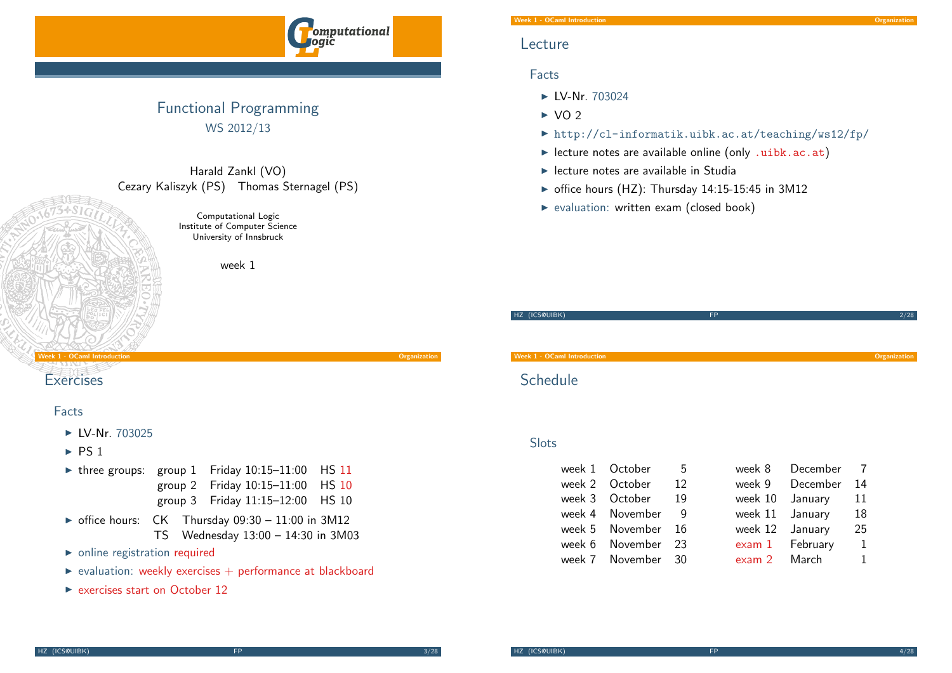

## Functional Programming WS 2012/13

## Harald Zankl (VO) Cezary Kaliszyk (PS) Thomas Sternagel (PS)

Computational Logic Institute of Computer Science University of Innsbruck

week 1

Week 1 - OCaml Introduction Organization

## **[Exercises](#page-0-0)**

## Facts

- $\blacktriangleright$  LV-Nr. 703025
- $\triangleright$  [PS 1](http://orawww.uibk.ac.at/public_prod/owa/lfuonline_lv.details?sem_id_in=12W&lvnr_id_in=703024)
- $\triangleright$  three groups: group 1 Friday 10:15-11:00 HS 11 [group 2 Friday 10:15–11:00 HS](http://cl-informatik.uibk.ac.at/teaching/ws12/fp/) 10 group 3 Friday 11:15–12:00 HS 10
- $\triangleright$  office hours: CK Thursday 09:30 11:00 in 3M12 TS Wednesday 13:00 – 14:30 in 3M03
- $\triangleright$  [onlin](http://cl-informatik.uibk.ac.at/teaching/ws11/fp/overview.php)e registration required
- $\triangleright$  [evaluation:](http://cl-informatik.uibk.ac.at/teaching/ws12/fp/overview.php) weekly exercises  $+$  performance at blackboard
- $\triangleright$  [exerc](http://cl-informatik.uibk.ac.at/teaching/ws12/fp/overview.php)ises start on October 12

## Lecture

## Facts

- $\blacktriangleright$  LV-Nr. 703024
- $\triangleright$  VO 2
- $\triangleright$  http://cl-informatik.uibk.ac.at/teaching/ws12/fp/
- $\blacktriangleright$  lecture notes are available online (only .uibk.ac.at)
- $\blacktriangleright$  lecture notes are available in Studia
- $\triangleright$  office hours (HZ): Thursday 14:15-15:45 in 3M12
- $\blacktriangleright$  evaluation: written exam (closed book)

| HZ (ICS@UIBK)                      | <b>FP</b> | 2/28         |
|------------------------------------|-----------|--------------|
|                                    |           |              |
|                                    |           |              |
|                                    |           |              |
|                                    |           |              |
| <b>Week 1 - OCaml Introduction</b> |           | Organization |
|                                    |           |              |
|                                    |           |              |
| Schedule                           |           |              |

## Slots

<span id="page-0-0"></span>

| week 1 October     | - 5 |                 | week 8 December 7 |              |
|--------------------|-----|-----------------|-------------------|--------------|
| week 2 October 12  |     |                 | week 9 December   | 14           |
| week 3 October 19  |     |                 | week 10 January   | 11           |
| week 4 November 9  |     | week 11 January |                   | 18           |
| week 5 November 16 |     | week 12 January |                   | 25           |
| week 6 November 23 |     |                 | exam 1 February   | $\mathbf{1}$ |
| week 7 November 30 |     | exam 2 March    |                   | 1            |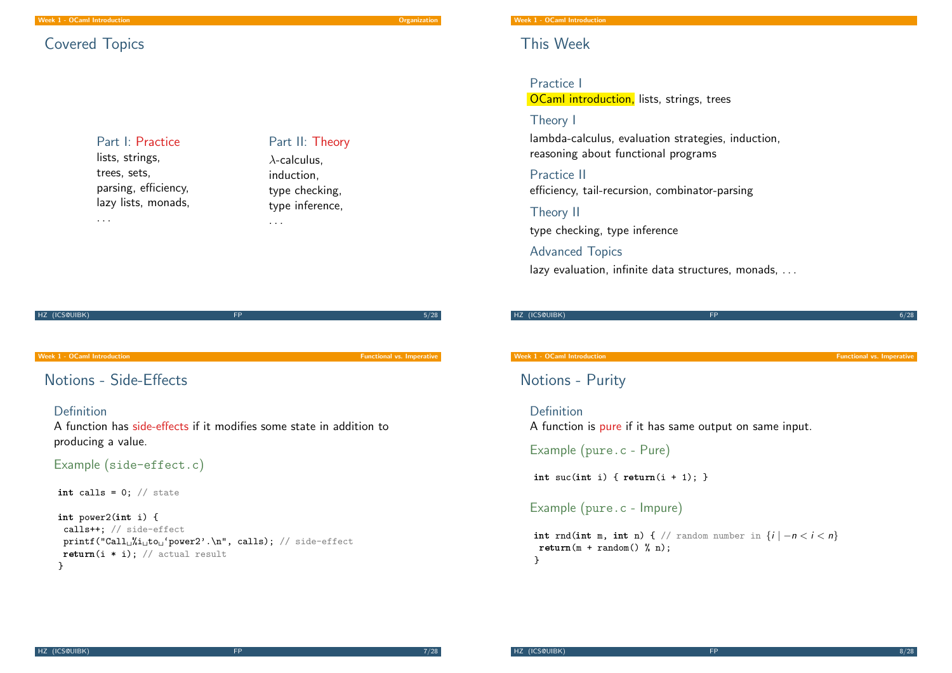## Covered Topics

### Part I: Practice lists, strings,

trees, sets, parsing, efficiency, lazy lists, monads, . . .

Part II: Theory  $\lambda$ -calculus. induction, type checking, type inference,

. . .

HZ (ICS@UIBK) FP 5/28

#### Week 1 - OCaml Introduction **Function** Functional vs. Imperative

## [Notions](#page-0-0) - Side-Effects

#### Definition

A function has side-effects if it modifies some state in addition to producing a value.

Example (side-effect.c)

int calls =  $0$ ; // state

int power2(int i) { calls++; // side-effect  $print("Call<sub>u</sub>''i<sub>u</sub>to<sub>u</sub>'power2'.\n', calls); // side-effect$ return(i  $*$  i); // actual result }

#### Week 1 - OCaml Introduction

## This Week

Practice I **OCaml introduction, lists, strings, trees** 

## Theory I

lambda-calculus, evaluation strategies, induction, reasoning about functional programs

Practice II efficiency, tail-recursion, combinator-parsing

Theory II

type checking, type inference

## Advanced Topics

lazy evaluation, infinite data structures, monads, . . .

| HZ (ICS@UIBK) | --- | 708. |
|---------------|-----|------|
|               |     |      |

#### Week 1 - OCaml Introduction **Functional vs. Imperative**

Notions - Purity

Definition A function is pure if it has same output on same input.

Example (pure.c - Pure)

int suc(int i) {  $return(i + 1)$ ; }

### Example (pure.c - Impure)

int rnd(int m, int n) { // random number in  $\{i \mid -n < i < n\}$  $return(m + random() % n):$ }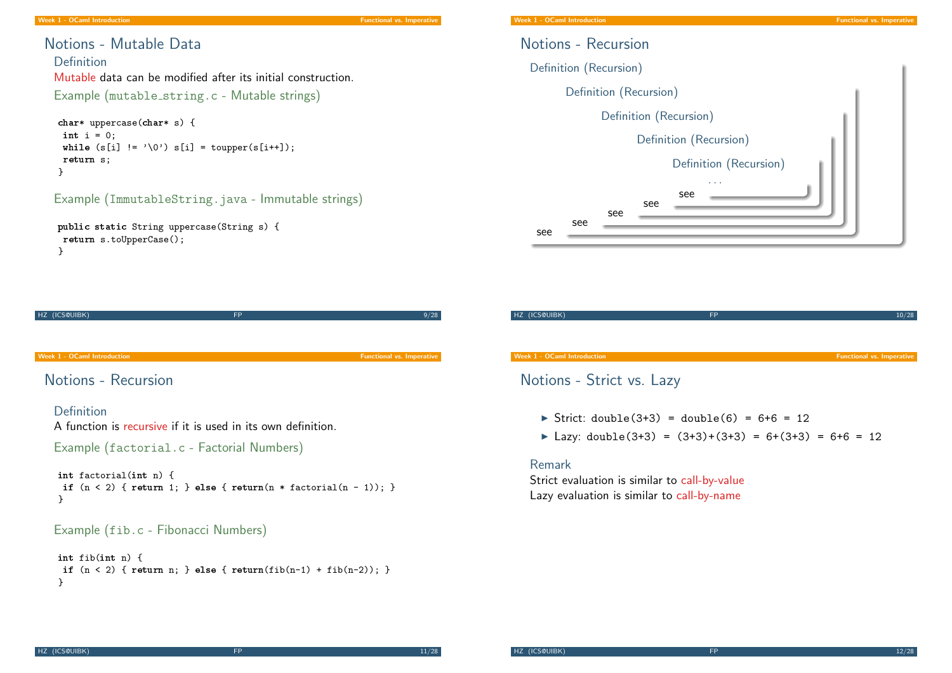## Notions - Mutable Data

Definition Mutable data can be modified after its initial construction. Example (mutable string.c - Mutable strings)

```
char* uppercase(char* s) {
 int i = 0:
 while (s[i] := '0') s[i] = \text{topper}(s[i++]);return s;
}
```
## Example (ImmutableString.java - Immutable strings)

```
public static String uppercase(String s) {
return s.toUpperCase();
}
```

| HZ (ICS@UIBK)                       | <b>FP</b>                                                                                                 | 9/28                             |
|-------------------------------------|-----------------------------------------------------------------------------------------------------------|----------------------------------|
|                                     |                                                                                                           |                                  |
| Week 1 - OCaml Introduction         |                                                                                                           | <b>Functional vs. Imperative</b> |
| Notions - Recursion                 |                                                                                                           |                                  |
| Definition                          | A function is recursive if it is used in its own definition.<br>Example (factorial.c - Factorial Numbers) |                                  |
| int factorial(int n) {<br>}         | if $(n < 2)$ { return 1; } else { return( $n *$ factorial( $n - 1$ )); }                                  |                                  |
| Example (fib.c - Fibonacci Numbers) |                                                                                                           |                                  |
| $int\ fib(int\ n)$ {<br>ጉ           | if $(n < 2)$ { return n; } else { return(fib(n-1) + fib(n-2)); }                                          |                                  |



| HZ (ICS@UIBK)                      | <b>FP</b> | 10/28                            |
|------------------------------------|-----------|----------------------------------|
|                                    |           |                                  |
|                                    |           |                                  |
|                                    |           |                                  |
| <b>Week 1 - OCaml Introduction</b> |           | <b>Functional vs. Imperative</b> |
|                                    |           |                                  |

## Notions - Strict vs. Lazy

- $\triangleright$  Strict: double(3+3) = double(6) = 6+6 = 12
- ▶ Lazy: double(3+3) =  $(3+3)+(3+3) = 6+(3+3) = 6+6 = 12$

### Remark

Strict evaluation is similar to call-by-value Lazy evaluation is similar to call-by-name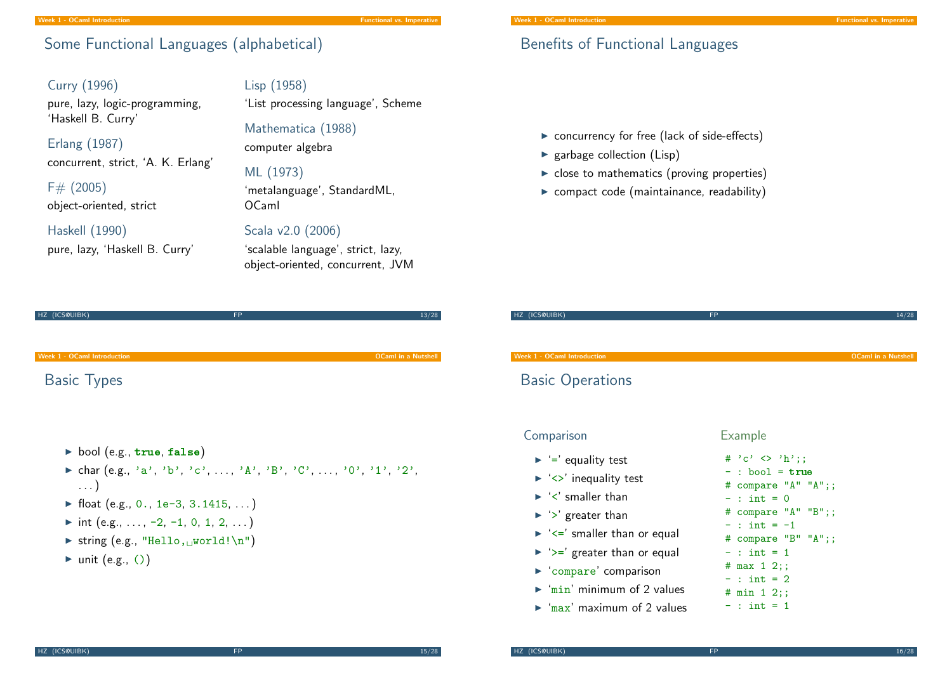## Some Functional Languages (alphabetical)

Curry (1996) pure, lazy, logic-programming,

'Haskell B. Curry' Erlang (1987)

concurrent, strict, 'A. K. Erlang'

 $F# (2005)$ object-oriented, strict

### Haskell (1990)

pure, lazy, 'Haskell B. Curry'

Lisp (1958) 'List processing language', Scheme

Mathematica (1988) computer algebra

### ML (1973)

'metalanguage', StandardML, OCaml

## Scala v2.0 (2006)

'scalable language', strict, lazy, object-oriented, concurrent, JVM

| HZ (ICS@UIBK)                      | <b>FP</b> | 13/28                      |
|------------------------------------|-----------|----------------------------|
|                                    |           |                            |
|                                    |           |                            |
|                                    |           |                            |
| <b>Week 1 - OCaml Introduction</b> |           | <b>OCaml in a Nutshell</b> |
|                                    |           |                            |

[Basic Ty](#page-0-0)pes

- bool (e.g.,  $true, false)$ )
- ► char  $(e.g., 'a', 'b', 'c', ..., 'A', 'B', 'C', ..., '0', '1', '2', ...)$ . . . )
- $\blacktriangleright$  float (e.g., 0., 1e-3, 3.1415, ...)
- $\triangleright$  int (e.g., ..., -2, -1, 0, 1, 2, ...)
- $\triangleright$  string (e.g., "Hello, world!\n")
- $\blacktriangleright$  unit (e.g., ())

## Benefits of Functional Languages

 $\triangleright$  concurrency for free (lack of side-effects)

- $\blacktriangleright$  garbage collection (Lisp)
- $\triangleright$  close to mathematics (proving properties)
- $\triangleright$  compact code (maintainance, readability)

| HZ (ICS@UIBK)                                                                                                                                                                         | <b>FP</b>                                                                              | 14/28                      |
|---------------------------------------------------------------------------------------------------------------------------------------------------------------------------------------|----------------------------------------------------------------------------------------|----------------------------|
| <b>Week 1 - OCaml Introduction</b><br><b>Basic Operations</b>                                                                                                                         |                                                                                        | <b>OCaml in a Nutshell</b> |
| Comparison                                                                                                                                                                            | <b>Example</b><br># 'c' $\langle$ 'h':                                                 |                            |
| $\blacktriangleright$ '=' equality test<br>$\blacktriangleright$ ' $\lt$ ' inequality test<br>$\blacktriangleright$ ' $\lt'$ ' smaller than<br>$\blacktriangleright$ '>' greater than | $-$ : bool = true<br># compare $^nA''''A''$ ;;<br>$-$ : int = 0<br># compare "A" "B";; |                            |
| $\blacktriangleright$ ' $\lt =$ ' smaller than or equal<br>$\blacktriangleright$ ' $\blacktriangleright$ =' greater than or equal                                                     | $-$ : int = $-1$<br># compare "B" "A";;<br>$-$ : int = 1<br># $max$ 1 2;;              |                            |
| compare' comparison<br>$\triangleright$ 'min' minimum of 2 values<br>$\triangleright$ 'max' maximum of 2 values                                                                       | $-$ : int = 2<br># min 1 2;;<br>$-$ : int = 1                                          |                            |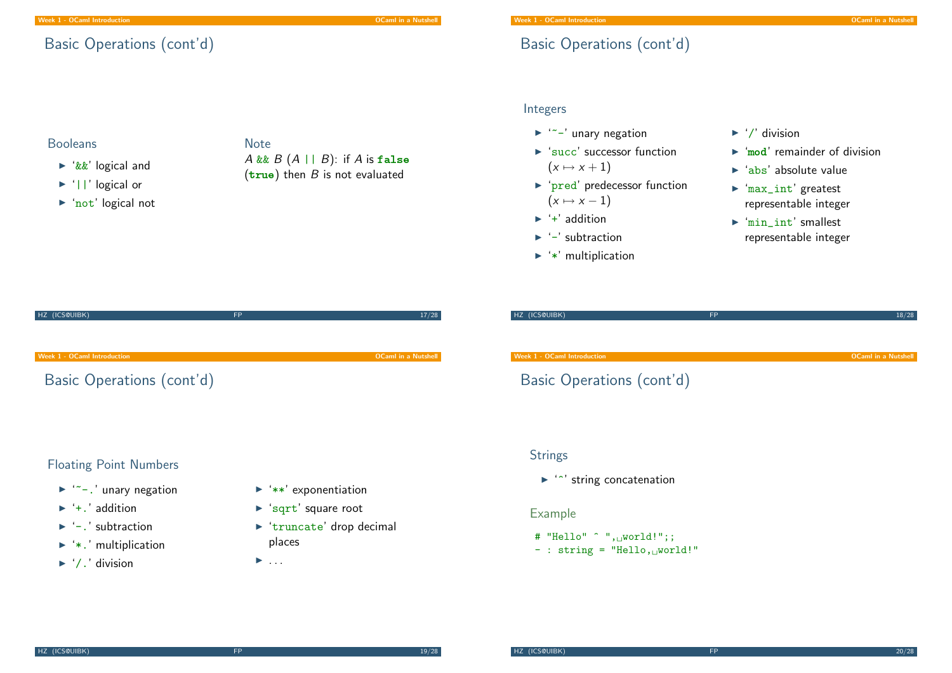## Basic Operations (cont'd)

## Booleans

- $\blacktriangleright$  '&&' logical and
- $\blacktriangleright$  '||' logical or
- $\triangleright$  'not' logical not

## **Note** A && B  $(A \mid B)$ : if A is false  $(true)$  then  $B$  is not evaluated

## Basic Operations (cont'd)

## Integers

- $\blacktriangleright$  '"-' unary negation
- $\blacktriangleright$  'succ' successor function  $(x \mapsto x + 1)$
- $\triangleright$  'pred' predecessor function  $(x \mapsto x - 1)$
- $\blacktriangleright$  '+' addition
- $\blacktriangleright$  '-' subtraction
- $\blacktriangleright$  '\*' multiplication
- $\blacktriangleright$  '/' division
- $\blacktriangleright$  'mod' remainder of division
- $\blacktriangleright$  'abs' absolute value
- $\blacktriangleright$  'max int' greatest representable integer
- $\blacktriangleright$  'min\_int' smallest representable integer

| HZ (ICS@UIBK)               | 17/28                      | HZ (ICS@UIBK)    |
|-----------------------------|----------------------------|------------------|
| Week 1 - OCaml Introduction | <b>OCaml in a Nutshell</b> | Week 1 - OCaml I |
| Basic Operations (cont'd)   |                            | Basic O          |
|                             |                            |                  |
|                             |                            |                  |

# HZ (ICS@UIBK) FP 18/28 18/28 week the control of the control of the control of the control of the control of the control of the control of the control of the control of the control of the control of the control of the control of the control of the con ) perations (cont'd)

## Floating Point Numbers

- $\blacktriangleright$  '"-.' unary negation
- $\blacktriangleright$  '+.' addition
- $\blacktriangleright$  '-.' subtraction
- $\blacktriangleright$  '\*.' multiplication
- $\blacktriangleright$  '/.' division
- $\blacktriangleright$  '\*\*' exponentiation
- $\blacktriangleright$  'sqrt' square root
- $\blacktriangleright$  'truncate' drop decimal places
- $\blacktriangleright$  . . .

## **Strings**

 $\blacktriangleright$  " $\degree$ " string concatenation

### Example

- # "Hello"  $\hat{ }$  ", world!";;
- $-$  : string = "Hello, world!"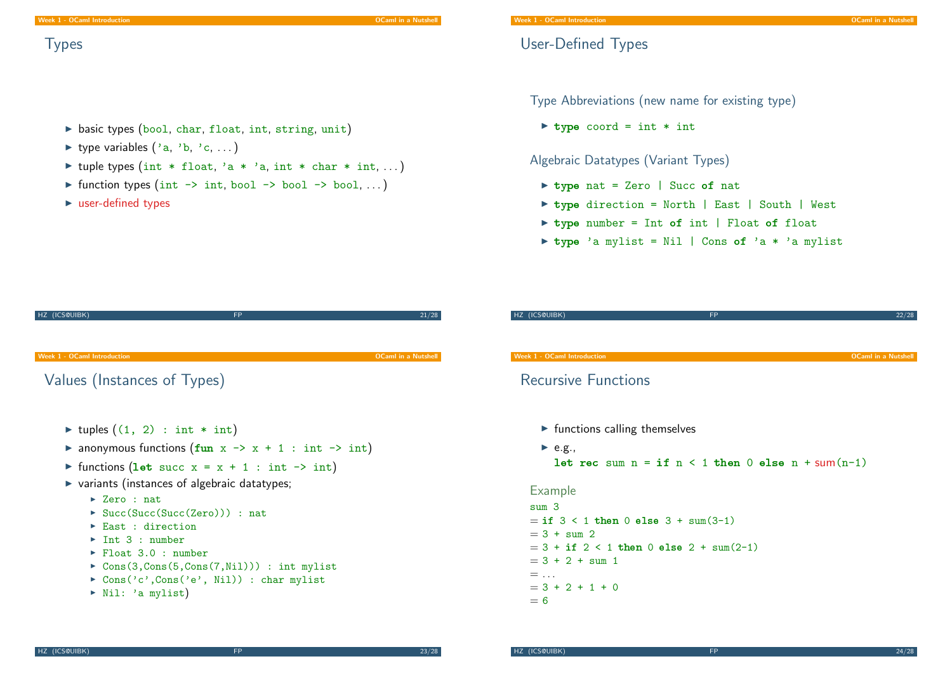## **Types**

- $\triangleright$  basic types (bool, char, float, int, string, unit)
- $\blacktriangleright$  type variables  $('a, 'b, 'c, ...)$
- If tuple types (int \* float, 'a \* 'a, int \* char \* int, ...)
- $\triangleright$  function types (int  $\rightarrow$  int, bool  $\rightarrow$  bool  $\rightarrow$  bool, ...)
- $\blacktriangleright$  user-defined types

## Type Abbreviations (new name for existing type)

 $\triangleright$  type coord = int  $*$  int

User-Defined Types

Algebraic Datatypes (Variant Types)

- $\triangleright$  type nat = Zero | Succ of nat
- ▶ type direction = North | East | South | West
- $\triangleright$  type number = Int of int | Float of float
- $\triangleright$  type 'a mylist = Nil | Cons of 'a \* 'a mylist

| HZ (ICS@UIBK)                                                                                                                                        | <b>FP</b>                                                                                                                            | 21/28                      |
|------------------------------------------------------------------------------------------------------------------------------------------------------|--------------------------------------------------------------------------------------------------------------------------------------|----------------------------|
|                                                                                                                                                      |                                                                                                                                      |                            |
| Week 1 - OCaml Introduction                                                                                                                          |                                                                                                                                      | <b>OCaml in a Nutshell</b> |
| Values (Instances of Types)                                                                                                                          |                                                                                                                                      |                            |
| ► tuples $((1, 2) : int * int)$                                                                                                                      | A anonymous functions $(fun x \rightarrow x + 1 : int \rightarrow int)$<br>ightharpoonup functions (let succ x = x + 1 : int -> int) |                            |
|                                                                                                                                                      | ▶ variants (instances of algebraic datatypes;                                                                                        |                            |
| $\blacktriangleright$ Zero : nat<br>$\triangleright$ East : direction<br>$\triangleright$ Int 3 : number<br>$\blacktriangleright$ Float 3.0 : number | $\triangleright$ Succ(Succ(Succ(Zero))) : nat<br>$\triangleright$ Cons(3,Cons(5,Cons(7,Nil))) : int mylist                           |                            |

- $\triangleright$  Cons('c',Cons('e', Nil)) : char mylist
- $\triangleright$  Nil: 'a mylist)

#### Week 1 - OCaml Introduction Camera Communication Camera Communication Camera Communication Camera Communication

## Recursive Functions

- $\blacktriangleright$  functions calling themselves
- $\blacktriangleright$  e.g., let rec sum  $n = if n < 1 then 0$  else  $n + sum(n-1)$

HZ (ICS@UIBK) FP 22/28

#### Example

sum 3  $=$  if  $3 < 1$  then 0 else  $3 + \text{sum}(3-1)$  $= 3 + \text{sum } 2$  $= 3 + if 2 < 1 then 0 else 2 + sum(2-1)$  $= 3 + 2 + \text{sum} 1$  $=$  ...  $= 3 + 2 + 1 + 0$  $= 6$